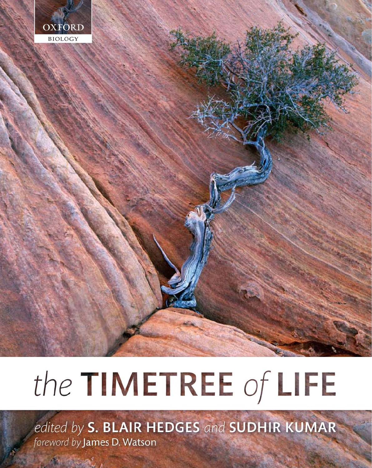

# the TIMETREE of LIFE

edited by S. BLAIR HEDGES and SUDHIR KUMAR foreword by James D. Watson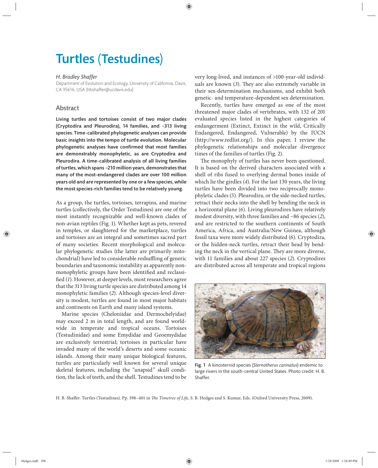## Turtles (Testudines)

#### *H. Bradley Shaffer*

Department of Evolution and Ecology, University of California, Davis, CA 95616, USA (hbshaffer@ucdavis.edu)

### Abstract

Living turtles and tortoises consist of two major clades (Cryptodira and Pleurodira), 14 families, and  $~213$  living species. Time-calibrated phylogenetic analyses can provide basic insights into the tempo of turtle evolution. Molecular phylogenetic analyses have confirmed that most families are demonstrably monophyletic, as are Cryptodira and Pleurodira. A time-calibrated analysis of all living families of turtles, which spans ~210 million years, demonstrates that many of the most-endangered clades are over 100 million years old and are represented by one or a few species, while the most species-rich families tend to be relatively young.

As a group, the turtles, tortoises, terrapins, and marine turtles (collectively, the Order Testudines) are one of the most instantly recognizable and well-known clades of non-avian reptiles (Fig. 1). Whether kept as pets, revered in temples, or slaughtered for the marketplace, turtles and tortoises are an integral and sometimes sacred part of many societies. Recent morphological and molecular phylogenetic studies (the latter are primarily mitochondrial) have led to considerable reshuffling of generic boundaries and taxonomic instability as apparently nonmonophyletic groups have been identified and reclassified (1). However, at deeper levels, most researchers agree that the 313 living turtle species are distributed among 14 monophyletic families (*2*). Although species-level diversity is modest, turtles are found in most major habitats and continents on Earth and many island systems.

Marine species (Cheloniidae and Dermochelyidae) may exceed 2 m in total length, and are found worldwide in temperate and tropical oceans. Tortoises (Testudinidae) and some Emydidae and Geoemydidae are exclusively terrestrial; tortoises in particular have invaded many of the world's deserts and some oceanic islands. Among their many unique biological features, turtles are particularly well known for several unique skeletal features, including the "anapsid" skull condition, the lack of teeth, and the shell. Testudines tend to be

very long-lived, and instances of >100-year-old individuals are known (3). They are also extremely variable in their sex- determination mechanisms, and exhibit both genetic- and temperature-dependent sex determination.

Recently, turtles have emerged as one of the most threatened major clades of vertebrates, with 132 of 201 evaluated species listed in the highest categories of endangerment (Extinct, Extinct in the wild, Critically Endangered, Endangered, Vulnerable) by the IUCN (http://www.redlist.org/). In this paper, I review the phylogenetic relationships and molecular divergence times of the families of turtles (Fig. 2).

The monophyly of turtles has never been questioned. It is based on the derived characters associated with a shell of ribs fused to overlying dermal bones inside of which lie the girdles (*4*). For the last 130 years, the living turtles have been divided into two reciprocally monophyletic clades (*5*). Pleurodira, or the side-necked turtles, retract their necks into the shell by bending the neck in a horizontal plane (*6*). Living pleurodires have relatively modest diversity, with three families and ~86 species (*2*), and are restricted to the southern continents of South America, Africa, and Australia/New Guinea, although fossil taxa were more widely distributed (*6*). Cryptodira, or the hidden-neck turtles, retract their head by bending the neck in the vertical plane. They are more diverse, with 11 families and about 227 species (*2*). Cryptodires are distributed across all temperate and tropical regions



Fig. 1 A kinosternid species (*Sternotherus carinatus*) endemic to large rivers in the south-central United States. Photo credit: H. B. Shaffer.

H. B. Shaffer. Turtles (Testudines). Pp. 398-401 in *The Timetree of Life*, S. B. Hedges and S. Kumar, Eds. (Oxford University Press, 2009).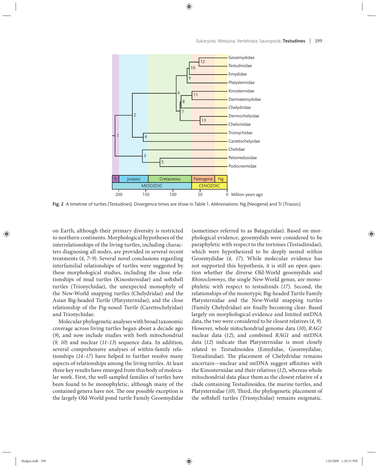

Fig. 2 A timetree of turtles (Testudines). Divergence times are show in Table 1. *Abbreviations*: Ng (Neogene) and Tr (Triassic).

on Earth, although their primary diversity is restricted to northern continents. Morphological hypotheses of the interrelationships of the living turtles, including characters diagnosing all nodes, are provided in several recent treatments (*4, 7–9*). Several novel conclusions regarding interfamilial relationships of turtles were suggested by these morphological studies, including the close relationships of mud turtles (Kinosternidae) and softshell turtles (Trionychidae), the unexpected monophyly of the New-World snapping turtles (Chelydridae) and the Asian Big-headed Turtle (Platysternidae), and the close relationship of the Pig-nosed Turtle (Carettochelyidae) and Trionychidae.

Molecular phylogenetic analyses with broad taxonomic coverage across living turtles began about a decade ago (9), and now include studies with both mitochondrial (*9, 10*) and nuclear (*11–13*) sequence data. In addition, several comprehensive analyses of within-family relationships (*14–17*) have helped to further resolve many aspects of relationships among the living turtles. At least three key results have emerged from this body of molecular work. First, the well-sampled families of turtles have been found to be monophyletic, although many of the contained genera have not. The one possible exception is the largely Old-World pond turtle Family Geoemydidae

(sometimes referred to as Bataguridae). Based on morphological evidence, geoemydids were considered to be paraphyletic with respect to the tortoises (Testudinidae), which were hypothesized to be deeply nested within Geoemydidae (4, 17). While molecular evidence has not supported this hypothesis, it is still an open question whether the diverse Old-World geoemydids and *Rhinoclemmys*, the single New-World genus, are monophyletic with respect to testudinids (17). Second, the relationships of the monotypic Big-headed Turtle Family Platysternidae and the New-World snapping turtles (Family Chelydridae) are finally becoming clear. Based largely on morphological evidence and limited mtDNA data, the two were considered to be closest relatives (*4, 9*). However, whole mitochondrial genome data (*10*), *RAG1* nuclear data (*12*), and combined *RAG1* and mtDNA data (*12*) indicate that Platysternidae is most closely related to Testudinoidea (Emydidae, Geoemydidae, Testudinidae). The placement of Chelydridae remains uncertain—nuclear and mtDNA suggest affinities with the Kinosternidae and their relatives (*12*), whereas whole mitochondrial data place them as the closest relative of a clade containing Testudinoidea, the marine turtles, and Platysternidae (10). Third, the phylogenetic placement of the softshell turtles (Trionychidae) remains enigmatic.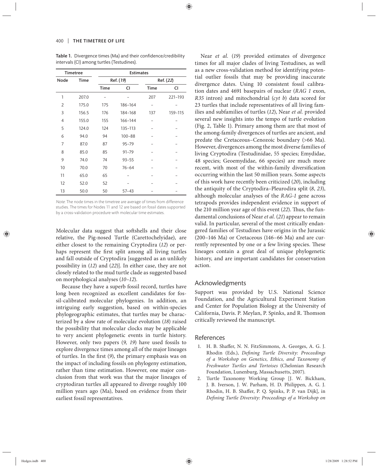| <b>Timetree</b> |             | <b>Estimates</b> |            |             |         |
|-----------------|-------------|------------------|------------|-------------|---------|
| Node            | <b>Time</b> | Ref. (19)        |            | Ref. (22)   |         |
|                 |             | <b>Time</b>      | CI         | <b>Time</b> | CI      |
| 1               | 207.0       |                  |            | 207         | 221-193 |
| 2               | 175.0       | 175              | 186-164    |             |         |
| 3               | 156.5       | 176              | 184-168    | 137         | 159-115 |
| 4               | 155.0       | 155              | 166-144    |             |         |
| 5               | 124.0       | 124              | 135-113    |             |         |
| 6               | 94.0        | 94               | $100 - 88$ |             |         |
| $\overline{7}$  | 87.0        | 87               | $95 - 79$  |             |         |
| 8               | 85.0        | 85               | $91 - 79$  |             |         |
| 9               | 74.0        | 74               | $93 - 55$  |             |         |
| 10              | 70.0        | 70               | $76 - 64$  |             |         |
| 11              | 65.0        | 65               |            |             |         |
| 12              | 52.0        | 52               |            |             |         |
| 13              | 50.0        | 50               | $57 - 43$  |             |         |

Table 1. Divergence times (Ma) and their confidence/credibility intervals (CI) among turtles (Testudines).

Note: The node times in the timetree are average of times from difference studies. The times for Nodes 11 and 12 are based on fossil dates supported by a cross-validation procedure with molecular time estimates.

Molecular data suggest that softshells and their close relative, the Pig-nosed Turtle (Carettochelyidae), are either closest to the remaining Cryptodira (*12*) or perhaps represent the first split among all living turtles and fall outside of Cryptodira [suggested as an unlikely possibility in (*12*) and (*22*)]. In either case, they are not closely related to the mud turtle clade as suggested based on morphological analyses (*10–12*).

Because they have a superb fossil record, turtles have long been recognized as excellent candidates for fossil-calibrated molecular phylogenies. In addition, an intriguing early suggestion, based on within-species phylogeographic estimates, that turtles may be characterized by a slow rate of molecular evolution (*18*) raised the possibility that molecular clocks may be applicable to very ancient phylogenetic events in turtle history. However, only two papers (*9, 19*) have used fossils to explore divergence times among all of the major lineages of turtles. In the first (9), the primary emphasis was on the impact of including fossils on phylogeny estimation, rather than time estimation. However, one major conclusion from that work was that the major lineages of cryptodiran turtles all appeared to diverge roughly 100 million years ago (Ma), based on evidence from their earliest fossil representatives.

Near *et al.* (*19*) provided estimates of divergence times for all major clades of living Testudines, as well as a new cross-validation method for identifying potential outlier fossils that may be providing inaccurate divergence dates. Using 10 consistent fossil calibration dates and 4691 basepairs of nuclear (*RAG 1* exon, *R35* intron) and mitochondrial (*cyt b*) data scored for 23 turtles that include representatives of all living families and subfamilies of turtles (*12*), Near *et al.* provided several new insights into the tempo of turtle evolution (Fig. 2, Table 1). Primary among them are that most of the among-family divergences of turtles are ancient, and predate the Cretaceous–Cenozoic boundary (>66 Ma). However, divergences among the most diverse families of living Cryptodira (Testudinidae, 55 species; Emydidae, 48 species; Geoemydidae, 66 species) are much more recent, with most of the within-family diversification occurring within the last 50 million years. Some aspects of this work have recently been criticized (*20*), including the antiquity of the Cryptodira–Pleurodira split (*8*, *23*), although molecular analyses of the *RAG-1* gene across tetrapods provides independent evidence in support of the 210 million year age of this event (22). Thus, the fundamental conclusions of Near *et al.* (*21*) appear to remain valid. In particular, several of the most critically endangered families of Testudines have origins in the Jurassic (200–146 Ma) or Cretaceous (146–66 Ma) and are currently represented by one or a few living species. These lineages contain a great deal of unique phylogenetic history, and are important candidates for conservation action.

#### Acknowledgments

Support was provided by U.S. National Science Foundation, and the Agricultural Experiment Station and Center for Population Biology at the University of California, Davis. P. Meylan, P. Spinks, and R. Thomson critically reviewed the manuscript.

### References

- 1. H. B. Shaffer, N. N. FitzSimmons, A. Georges, A. G. J. Rhodin (Eds.), *Defining Turtle Diversity: Proceedings of a Workshop on Genetics, Ethics, and Taxonomy of Freshwater Turtles and Tortoises* (Chelonian Research Foundation, Lunenburg, Massachusetts, 2007).
- 2. Turtle Taxonomy Working Group [J. W. Bickham, J. B. Iverson, J. W. Parham, H. D. Philippen, A. G. J. Rhodin, H. B. Shaffer, P. Q. Spinks, P. P. van Dijk], in *Defining Turtle Diversity: Proceedings of a Workshop on*